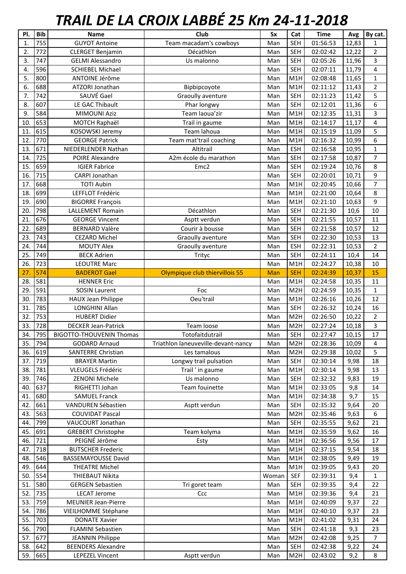## *TRAIL DE LA CROIX LABBÉ 25 Km 24-11-2018*

| PI.               | <b>Bib</b> | Name                            | Club                                | Sx    | Cat              | <b>Time</b> | Avg   | By cat.                 |
|-------------------|------------|---------------------------------|-------------------------------------|-------|------------------|-------------|-------|-------------------------|
| 1.                | 755        | <b>GUYOT Antoine</b>            | Team macadam's cowboys              | Man   | <b>SEH</b>       | 01:56:53    | 12,83 | 1                       |
| 2.                | 772        | <b>CLERGET Benjamin</b>         | Décathlon                           | Man   | <b>SEH</b>       | 02:02:42    | 12,22 | $\overline{2}$          |
| 3.                | 747        | <b>GELMI Alessandro</b>         | Us malonno                          | Man   | <b>SEH</b>       | 02:05:26    | 11,96 | $\overline{3}$          |
| 4.                | 596        | <b>SCHIEBEL Michael</b>         |                                     | Man   | <b>SEH</b>       | 02:07:11    | 11,79 | $\overline{\mathbf{4}}$ |
| 5.                | 800        | ANTOINE Jérôme                  |                                     | Man   | M1H              | 02:08:48    | 11,65 | $\mathbf 1$             |
| 6.                | 688        | ATZORI Jonathan                 | Bipbipcoyote                        | Man   | M1H              | 02:11:12    | 11,43 | $\overline{2}$          |
| 7.                | 742        | SAUVÉ Gael                      | Graoully aventure                   | Man   | <b>SEH</b>       | 02:11:23    | 11,42 | 5                       |
| 8.                | 607        | LE GAC Thibault                 | Phar longwy                         | Man   | <b>SEH</b>       | 02:12:01    | 11,36 | 6                       |
| 9.                | 584        | <b>MIMOUNI Aziz</b>             | Team laoua'zir                      | Man   | M1H              | 02:12:35    | 11,31 | 3                       |
| 10                | 653        | MOTCH Raphaël                   | Trail in gaume                      | Man   | M1H              | 02:14:17    | 11,17 | $\overline{\mathbf{4}}$ |
| 11                | 615        | KOSOWSKI Jeremy                 | Team lahoua                         | Man   | M1H              | 02:15:19    | 11,09 | 5                       |
| 12.               | 770        | <b>GEORGE Patrick</b>           | Team mat'trail coaching             | Man   | M1H              | 02:16:32    | 10,99 | 6                       |
| 13.               | 671        | NIEDERLENDER Nathan             | Altitrail                           | Man   | <b>ESH</b>       | 02:16:58    | 10,95 | $\mathbf{1}$            |
| 14.               | 725        | POIRE Alexandre                 | A2m école du marathon               | Man   | <b>SEH</b>       | 02:17:58    | 10,87 | $\overline{7}$          |
| 15.               | 659        | <b>IGIER Fabrice</b>            | Emc <sub>2</sub>                    | Man   | <b>SEH</b>       | 02:19:24    | 10,76 | 8                       |
| 16.               | 715        | <b>CARPI Jonathan</b>           |                                     | Man   | <b>SEH</b>       | 02:20:01    | 10,71 | 9                       |
| 17.               | 668        | <b>TOTI Aubin</b>               |                                     | Man   | M1H              | 02:20:45    | 10,66 | $\overline{7}$          |
| 18.               | 699        | LEFFLOT Frédéric                |                                     | Man   | M1H              | 02:21:00    | 10,64 | 8                       |
| 19                | 690        | <b>BIGORRE François</b>         |                                     | Man   | M1H              | 02:21:10    | 10,63 | 9                       |
| 20.               | 798        | <b>LALLEMENT Romain</b>         | Décathlon                           | Man   | <b>SEH</b>       | 02:21:30    | 10,6  | 10                      |
| 21.               | 676        | <b>GEORGE Vincent</b>           | Asptt verdun                        | Man   | <b>SEH</b>       | 02:21:55    | 10,57 | 11                      |
| 22.               | 689        | <b>BERNARD Valère</b>           | Courir à bousse                     | Man   | <b>SEH</b>       | 02:21:58    | 10,57 | 12                      |
| 23.               | 743        | <b>CEZARD Michel</b>            | Graoully aventure                   | Man   | <b>SEH</b>       | 02:22:30    | 10,53 | 13                      |
| 24.               | 744        | <b>MOUTY Alex</b>               | Graoully aventure                   | Man   | <b>ESH</b>       | 02:22:31    | 10,53 | $\overline{2}$          |
| 25.               | 749        | <b>BECK Adrien</b>              | Trityc                              | Man   | <b>SEH</b>       | 02:24:11    | 10,4  | 14                      |
| 26.               | 723        | <b>LEOUTRE Marc</b>             |                                     | Man   | M1H              | 02:24:27    | 10,38 | 10                      |
| 27                | 574        | <b>BADEROT Gael</b>             | Olympique club thiervillois 55      | Man   | <b>SEH</b>       | 02:24:39    | 10,37 | 15                      |
| 28.               | 581        | <b>HENNER Eric</b>              |                                     | Man   | M1H              | 02:24:58    | 10,35 | 11                      |
| 29                | 591        | <b>SOSIN Laurent</b>            | Foc                                 | Man   | M <sub>2</sub> H | 02:24:59    | 10,35 | $\mathbf{1}$            |
| 30.               | 783        | <b>HAUX Jean Philippe</b>       | Oeu'trail                           | Man   | M1H              | 02:26:16    | 10,26 | 12                      |
| 31.               | 785        | LONGHINI Allan                  |                                     | Man   | <b>SEH</b>       | 02:26:32    | 10,24 | 16                      |
| 32.               | 753        | <b>HUBERT Didier</b>            |                                     | Man   | M <sub>2</sub> H | 02:26:50    | 10,22 | $\overline{2}$          |
| 33.               | 728        | <b>DECKER Jean-Patrick</b>      | Team loose                          | Man   | M <sub>2</sub> H | 02:27:24    | 10,18 | $\overline{\mathbf{3}}$ |
| $\overline{34}$ . | 795        | <b>BIGOTTO-THOUVENIN Thomas</b> | Totofaitdutrail                     | Man   | <b>SEH</b>       | 02:27:47    | 10,15 | 17                      |
| 35.               | 794        | <b>GODARD Arnaud</b>            | Triathlon laneuveville-devant-nancy | Man   | M <sub>2</sub> H | 02:28:36    | 10,09 | 4                       |
| 36.               | 619        | <b>SANTERRE Christian</b>       | Les tamalous                        | Man   | M <sub>2</sub> H | 02:29:38    | 10,02 | 5                       |
| 37.               | 719        | <b>BRAYER Martin</b>            | Longwy trail pulsation              | Man   | <b>SEH</b>       | 02:30:14    | 9,98  | 18                      |
| 38.               | 781        | VLEUGELS Frédéric               | Trail ' in gaume                    | Man   | M1H              | 02:30:14    | 9,98  | 13                      |
| 39.               | 746        | <b>ZENONI Michele</b>           | Us malonno                          | Man   | <b>SEH</b>       | 02:32:32    | 9,83  | 19                      |
| 40.               | 637        | RIGHETTI Johan                  | Team fouinette                      | Man   | M1H              | 02:33:05    | 9,8   | 14                      |
| 41.               | 680        | <b>SAMUEL Franck</b>            |                                     | Man   | M1H              | 02:34:38    | 9,7   | 15                      |
| 42.               | 661        | VANDUREN Sébastien              | Asptt verdun                        | Man   | <b>SEH</b>       | 02:35:32    | 9,64  | 20                      |
| 43.               | 563        | <b>COUVIDAT Pascal</b>          |                                     | Man   | M <sub>2</sub> H | 02:35:46    | 9,63  | 6                       |
| 44.               | 799        | VAUCOURT Jonathan               |                                     | Man   | <b>SEH</b>       | 02:35:55    | 9,62  | 21                      |
| 45.               | 691        | <b>GREBERT Christophe</b>       | Team kolyma                         | Man   | M1H              | 02:35:59    | 9,62  | 16                      |
| 46.               | 721        | PEIGNÉ Jérôme                   | Esty                                | Man   | M1H              | 02:36:56    | 9,56  | 17                      |
| 47.               | 718        | <b>BUTSCHER Frederic</b>        |                                     | Man   | M1H              | 02:37:15    | 9,54  | 18                      |
| 48.               | 546        | <b>BASSEMAYOUSSE David</b>      |                                     | Man   | M1H              | 02:38:05    | 9,49  | 19                      |
| 49.               | 644        | <b>THEATRE Michel</b>           |                                     | Man   | M1H              | 02:39:05    | 9,43  | 20                      |
| 50.               | 554        | THIEBAUT Nikita                 |                                     | Woman | <b>SEF</b>       | 02:39:31    | 9,4   | $\mathbf{1}$            |
| 51.               | 580        | <b>GERGEN Sebastien</b>         | Tri goret team                      | Man   | <b>SEH</b>       | 02:39:35    | 9,4   | 22                      |
| 52.               | 735        | <b>LECAT Jerome</b>             | Ccc                                 | Man   | M1H              | 02:39:36    | 9,4   | 21                      |
| 53.               | 759        | <b>MEUNIER Jean-Pierre</b>      |                                     | Man   | M1H              | 02:40:09    | 9,37  | 22                      |
| 54.               | 786        | VIEILHOMME Stéphane             |                                     | Man   | M1H              | 02:40:10    | 9,37  | 23                      |
| 55.               | 703        | <b>DONATE Xavier</b>            |                                     | Man   | M1H              | 02:41:02    | 9,31  | 24                      |
| 56.               | 790        | <b>FLAMINI Sebastien</b>        |                                     | Man   | <b>SEH</b>       | 02:41:18    | 9,3   | 23                      |
| 57.               | 677        | <b>JEANNIN Philippe</b>         |                                     | Man   | M <sub>2</sub> H | 02:42:08    | 9,25  | $\overline{7}$          |
| 58.               | 642        | <b>BEENDERS Alexandre</b>       |                                     | Man   | <b>SEH</b>       | 02:42:38    | 9,22  | 24                      |
| 59.               | 665        | <b>LEPEZEL Vincent</b>          | Asptt verdun                        | Man   | M <sub>2</sub> H | 02:43:02    | 9,2   | 8                       |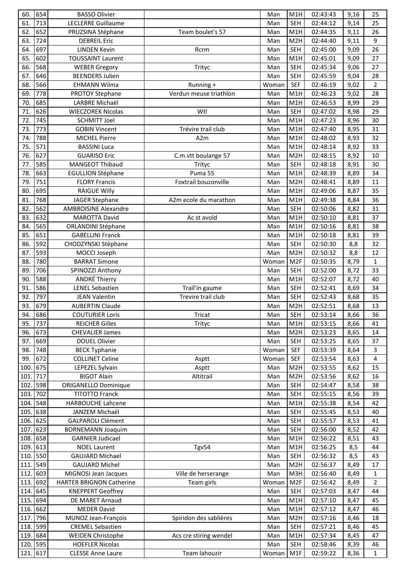| 60.        | 654        | <b>BASSO Olivier</b>                |                        | Man          | M1H               | 02:43:43             | 9,16         | 25                 |
|------------|------------|-------------------------------------|------------------------|--------------|-------------------|----------------------|--------------|--------------------|
| 61.        | 713        | <b>LECLERRE Guillaume</b>           |                        | Man          | <b>SEH</b>        | 02:44:12             | 9,14         | 25                 |
| 62.        | 652        | PRUZSINA Stéphane                   | Team boulet's 57       | Man          | M1H               | 02:44:35             | 9,11         | 26                 |
| 63.        | 724        | <b>DEBREIL Eric</b>                 |                        | Man          | M <sub>2</sub> H  | 02:44:40             | 9,11         | 9                  |
| 64.        | 697        | <b>LINDEN Kevin</b>                 | Rcrm                   | Man          | <b>SEH</b>        | 02:45:00             | 9,09         | 26                 |
| 65.        | 602        | <b>TOUSSAINT Laurent</b>            |                        | Man          | M1H               | 02:45:01             | 9,09         | 27                 |
| 66.        | 568        | <b>WEBER Gregory</b>                | Trityc                 | Man          | <b>SEH</b>        | 02:45:34             | 9,06         | 27                 |
| 67.        | 646        | <b>BEENDERS Julien</b>              |                        | Man          | <b>SEH</b>        | 02:45:59             | 9,04         | 28                 |
| 68.        | 566        | <b>EHMANN Wilma</b>                 | Running +              | Woman        | <b>SEF</b>        | 02:46:19             | 9,02         | $\overline{2}$     |
| 69.        | 778        | <b>PROTOY Stephane</b>              | Verdun meuse triathlon | Man          | M1H               | 02:46:23             | 9,02         | 28                 |
| 70.        | 685        | LARBRE Michaël                      |                        | Man          | M1H               | 02:46:53             | 8,99         | 29                 |
| 71.        | 626        | <b>WIECZOREK Nicolas</b>            | Wtl                    | Man          | <b>SEH</b>        | 02:47:02             | 8,98         | 29                 |
| 72.        | 745        | <b>SCHMITT Joel</b>                 |                        | Man          | M1H               | 02:47:23             | 8,96         | 30                 |
| 73.        | 773        | <b>GOBIN Vincent</b>                | Trévire trail club     | Man          | M1H               | 02:47:40             | 8,95         | 31                 |
| 74.        | 788        | <b>MICHEL Pierre</b>                | A <sub>2</sub> m       | Man          | M1H               | 02:48:02             | 8,93         | 32                 |
| 75.        | 571        | <b>BASSINI Luca</b>                 |                        | Man          | M1H               | 02:48:14             | 8,92         | 33                 |
| 76.        | 627        | <b>GUARISO Eric</b>                 | C.m.vtt boulange 57    | Man          | M <sub>2</sub> H  | 02:48:15             | 8,92         | 10                 |
| 77.        | 585        | <b>MANGEOT Thibaud</b>              | Trityc                 | Man          | <b>SEH</b>        | 02:48:18             | 8,91         | 30                 |
| 78.        | 663        | <b>EGULLION Stéphane</b>            | Puma 55                | Man          | M1H               | 02:48:39             | 8,89         | 34                 |
| 79.        | 751        | <b>FLORY Francis</b>                | Foxtrail bouzonville   | Man          | M <sub>2</sub> H  | 02:48:41             | 8,89         | 11                 |
| 80.        | 695        | <b>RAIGUE Willy</b>                 |                        | Man          | M1H               | 02:49:06             | 8,87         | 35                 |
| 81.        | 768        | <b>JAGER Stephane</b>               | A2m ecole du marathon  | Man          | M1H               | 02:49:38             | 8,84         | 36                 |
| 82.        | 562        | <b>AMBROISINE Alexandre</b>         |                        | Man          | <b>SEH</b>        | 02:50:06             | 8,82         | 31                 |
| 83.        | 632        | <b>MAROTTA David</b>                | Ac st avold            | Man          | M1H               | 02:50:10             | 8,81         | 37                 |
| 84.        | 565        | <b>ORLANDINI Stéphane</b>           |                        | Man          | M1H               | 02:50:16             | 8,81         | 38                 |
| 85.<br>86. | 651<br>592 | <b>GABELLINI Franck</b>             |                        | Man          | M1H<br><b>SEH</b> | 02:50:18             | 8,81         | 39<br>32           |
| 87.        | 593        | CHODZYNSKI Stéphane<br>MOCCI Joseph |                        | Man          | M <sub>2</sub> H  | 02:50:30<br>02:50:32 | 8,8<br>8,8   | 12                 |
| 88.        | 780        | <b>BARRAT Simone</b>                |                        | Man          | M <sub>2F</sub>   | 02:50:35             |              |                    |
| 89.        | 706        | SPINOZZI Anthony                    |                        | Woman<br>Man | <b>SEH</b>        | 02:52:00             | 8,79<br>8,72 | $\mathbf{1}$<br>33 |
| 90.        | 588        | <b>ANDRÉ Thierry</b>                |                        | Man          | M <sub>1</sub> H  | 02:52:07             | 8,72         | 40                 |
| 91.        | 586        | <b>LENEL Sebastien</b>              | Trail'in gaume         | Man          | <b>SEH</b>        | 02:52:41             | 8,69         | 34                 |
| 92.        | 797        | <b>JEAN Valentin</b>                | Trevire trail club     | Man          | <b>SEH</b>        | 02:52:43             | 8,68         | 35                 |
| 93.        | 679        | <b>AUBERTIN Claude</b>              |                        | Man          | M <sub>2</sub> H  | 02:52:51             | 8,68         | 13                 |
| 94.        | 686        | <b>COUTURIER Loris</b>              | <b>Tricat</b>          | Man          | SEH               | 02:53:14             | 8,66         | 36                 |
| 95.        | 737        | <b>REICHER Gilles</b>               | Trityc                 | Man          | M1H               | 02:53:15             | 8,66         | 41                 |
| 96.        | 673        | <b>CHEVALIER James</b>              |                        | Man          | M <sub>2</sub> H  | 02:53:23             | 8,65         | 14                 |
| 97.        | 669        | <b>DOUEL Olivier</b>                |                        | Man          | <b>SEH</b>        | 02:53:25             | 8,65         | 37                 |
| 98.        | 748        | <b>BECK Typhanie</b>                |                        | Woman        | <b>SEF</b>        | 02:53:39             | 8,64         | 3                  |
| 99.        | 672        | <b>COLLINET Celine</b>              | Asptt                  | Woman        | <b>SEF</b>        | 02:53:54             | 8,63         | 4                  |
| 100        | 675        | LEPEZEL Sylvain                     | Asptt                  | Man          | M <sub>2</sub> H  | 02:53:55             | 8,62         | 15                 |
| 101.       | 717        | <b>BIGOT Alain</b>                  | Altitrail              | Man          | M <sub>2</sub> H  | 02:53:56             | 8,62         | 16                 |
| 102.       | 598        | <b>ORIGANELLO Dominique</b>         |                        | Man          | <b>SEH</b>        | 02:54:47             | 8,58         | 38                 |
| 103.       | 702        | <b>TITOTTO Franck</b>               |                        | Man          | <b>SEH</b>        | 02:55:15             | 8,56         | 39                 |
| 104.       | 548        | HARBOUCHE Lahcene                   |                        | Man          | M1H               | 02:55:38             | 8,54         | 42                 |
| 105.       | 638        | JANZEM Michaël                      |                        | Man          | <b>SEH</b>        | 02:55:45             | 8,53         | 40                 |
| 106.       | 625        | <b>GALPAROLI Clément</b>            |                        | Man          | <b>SEH</b>        | 02:55:57             | 8,53         | 41                 |
| 107.       | 623        | <b>BORNEMANN Joaquim</b>            |                        | Man          | <b>SEH</b>        | 02:56:00             | 8,52         | 42                 |
| 108.       | 658        | <b>GARNIER Judicael</b>             |                        | Man          | M1H               | 02:56:22             | 8,51         | 43                 |
| 109.       | 613        | <b>NOEL Laurent</b>                 | Tgv54                  | Man          | M1H               | 02:56:25             | 8,5          | 44                 |
| 110.       | 550        | <b>GAUJARD Michael</b>              |                        | Man          | <b>SEH</b>        | 02:56:32             | 8,5          | 43                 |
| 111.       | 549        | <b>GAUJARD Michel</b>               |                        | Man          | M <sub>2</sub> H  | 02:56:37             | 8,49         | 17                 |
| 112.       | 603        | MIGNOSI Jean Jacques                | Ville de herserange    | Man          | M3H               | 02:56:40             | 8,49         | $\mathbf 1$        |
| 113.       | 692        | <b>HARTER BRIGNON Catherine</b>     | Team girls             | Woman        | M <sub>2F</sub>   | 02:56:42             | 8,49         | $\overline{2}$     |
| 114.       | 645        | <b>KNEPPERT Geoffrey</b>            |                        | Man          | <b>SEH</b>        | 02:57:03             | 8,47         | 44                 |
| 115.       | 694        | DE MARET Arnaud                     |                        | Man          | M1H               | 02:57:10             | 8,47         | 45                 |
| 116.       | 662        | <b>MEDER David</b>                  |                        | Man          | M1H               | 02:57:12             | 8,47         | 46                 |
| 117.       | 796        | MUNOZ Jean-François                 | Spiridon des sablières | Man          | M <sub>2</sub> H  | 02:57:16             | 8,46         | 18                 |
| 118.       | 599        | <b>CREMEL Sebastien</b>             |                        | Man          | <b>SEH</b>        | 02:57:21             | 8,46         | 45                 |
| 119.       | 684        | <b>WEIDEN Christophe</b>            | Acs cre stiring wendel | Man          | M1H               | 02:57:34             | 8,45         | 47                 |
| 120.       | 595        | <b>HOEFLER Nicolas</b>              |                        | Man          | <b>SEH</b>        | 02:58:46             | 8,39         | 46                 |
| 121. 617   |            | <b>CLESSE Anne Laure</b>            | Team lahouzir          | Woman        | M1F               | 02:59:22             | 8,36         | $\mathbf{1}$       |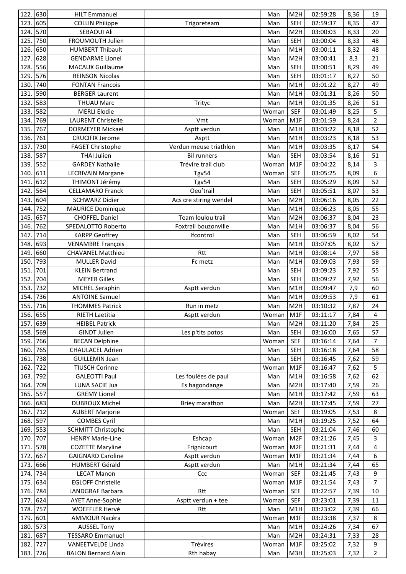| 122.             | 630      | <b>HILT Emmanuel</b>       |                        | Man       | M2H              | 02:59:28 | 8,36 | 19             |
|------------------|----------|----------------------------|------------------------|-----------|------------------|----------|------|----------------|
| 123.             | 605      | <b>COLLIN Philippe</b>     | Trigoreteam            | Man       | <b>SEH</b>       | 02:59:37 | 8,35 | 47             |
| 124.             | 570      | SEBAOUI Ali                |                        | Man       | M2H              | 03:00:03 | 8,33 | 20             |
| 125.             | 750      | FROUMOUTH Julien           |                        | Man       | <b>SEH</b>       | 03:00:04 | 8,33 | 48             |
| 126.             | 650      | <b>HUMBERT Thibault</b>    |                        | Man       | M1H              | 03:00:11 | 8,32 | 48             |
| 127.             | 628      | <b>GENDARME Lionel</b>     |                        | Man       | M2H              | 03:00:41 | 8,3  | 21             |
| 128.             | 556      | <b>MACAUX Guillaume</b>    |                        | Man       | <b>SEH</b>       | 03:00:51 | 8,29 | 49             |
| 129.             | 576      | <b>REINSON Nicolas</b>     |                        | Man       | <b>SEH</b>       | 03:01:17 | 8,27 | 50             |
| 130.             | 740      | <b>FONTAN Francois</b>     |                        | Man       | M1H              | 03:01:22 | 8,27 | 49             |
| 131              | 590      | <b>BERGER Laurent</b>      |                        | Man       | M1H              | 03:01:31 | 8,26 | 50             |
| 132.             | 583      | <b>THUAU Marc</b>          | Trityc                 | Man       | M1H              | 03:01:35 | 8,26 | 51             |
| 133.             | 582      | <b>MERLI Elodie</b>        |                        | Woman     | <b>SEF</b>       | 03:01:49 | 8,25 | 5              |
| 134.             | 769      | <b>LAURENT Christelle</b>  | Vmt                    | Woman     | M1F              | 03:01:59 | 8,24 | $\overline{2}$ |
| 135.             | 767      | <b>DORMEYER Mickael</b>    | Asptt verdun           | Man       | M1H              | 03:03:22 | 8,18 | 52             |
| 136.             | 761      | <b>CRUCIFIX Jerome</b>     | Asptt                  | Man       | M1H              | 03:03:23 | 8,18 | 53             |
| 137.             | 730      | <b>FAGET Christophe</b>    | Verdun meuse triathlon | Man       | M1H              | 03:03:35 | 8,17 | 54             |
| 138.             | 587      | <b>THAI Julien</b>         | <b>Bil runners</b>     | Man       | <b>SEH</b>       | 03:03:54 | 8,16 | 51             |
| 139.             | 552      | <b>GARDEY Nathalie</b>     | Trévire trail club     | Woman     | M1F              | 03:04:22 | 8,14 | 3              |
| 140.             | 611      | <b>LECRIVAIN Morgane</b>   | Tgv54                  | Woman     | <b>SEF</b>       | 03:05:25 | 8,09 | $\overline{6}$ |
| 141              | 612      | THIMONT Jérémy             | Tgv54                  | Man       | <b>SEH</b>       | 03:05:29 | 8,09 | 52             |
| 142              | 564      | <b>CELLAMARO Franck</b>    | Oeu'trail              | Man       | <b>SEH</b>       | 03:05:51 | 8,07 | 53             |
| 143.             | 604      | <b>SCHWARZ Didier</b>      | Acs cre stiring wendel | Man       | M2H              | 03:06:16 | 8,05 | 22             |
| 144.             | 752      | <b>MAURICE Dominique</b>   |                        | Man       | M1H              | 03:06:23 | 8,05 | 55             |
| 145.             | 657      | <b>CHOFFEL Daniel</b>      | Team loulou trail      | Man       | M <sub>2</sub> H | 03:06:37 | 8,04 | 23             |
| 146.             | 762      | SPEDALOTTO Roberto         | Foxtrail bouzonville   | Man       | M1H              | 03:06:37 | 8,04 | 56             |
| 147.             | 714      | <b>KARPP Geoffrey</b>      | Ifcontrol              | Man       | <b>SEH</b>       | 03:06:59 | 8,02 | 54             |
| 148.             | 693      | <b>VENAMBRE François</b>   |                        | Man       | M1H              | 03:07:05 | 8,02 | 57             |
| 149              | 660      | <b>CHAVANEL Matthieu</b>   | Rtt                    | Man       | M1H              | 03:08:14 | 7,97 | 58             |
| 150              | 793      | <b>MULLER David</b>        | Fc metz                | Man       | M1H              | 03:09:03 | 7,93 | 59             |
| 151.             | 701      | <b>KLEIN Bertrand</b>      |                        | Man       | <b>SEH</b>       | 03:09:23 | 7,92 | 55             |
| 152.             | 704      | <b>MEYER Gilles</b>        |                        | Man       | <b>SEH</b>       | 03:09:27 | 7,92 | 56             |
| 153.             | 732      | MICHEL Seraphin            | Asptt verdun           | Man       | M1H              | 03:09:47 | 7,9  | 60             |
| 154.             | 736      | <b>ANTOINE Samuel</b>      |                        | Man       | M1H              | 03:09:53 | 7,9  | 61             |
| 155.             | 716      | <b>THOMMES Patrick</b>     | Run in metz            | Man       | M2H              | 03:10:32 | 7,87 | 24             |
|                  | 156. 655 | RIETH Laetitia             | Asptt verdun           | Woman M1F |                  | 03:11:17 | 7,84 | 4              |
| 157. 639         |          | <b>HEIBEL Patrick</b>      |                        | Man       | M <sub>2</sub> H | 03:11:20 | 7,84 | 25             |
| 158. 569         |          | <b>GINDT Julien</b>        | Les p'tits potos       | Man       | <b>SEH</b>       | 03:16:00 | 7,65 | 57             |
| 159.             | 766      | <b>BECAN Delphine</b>      |                        | Woman     | <b>SEF</b>       | 03:16:14 | 7,64 | 7              |
| 160.             | 765      | <b>CHAULACEL Adrien</b>    |                        | Man       | <b>SEH</b>       | 03:16:18 | 7,64 | 58             |
| 161.             | 738      | <b>GUILLEMIN Jean</b>      |                        | Man       | <b>SEH</b>       | 03:16:45 | 7,62 | 59             |
| 162.             | 722      | <b>TIUSCH Corinne</b>      |                        | Woman     | M1F              | 03:16:47 | 7,62 | 5              |
| 163.             | 792      | <b>GALEOTTI Paul</b>       | Les foulées de paul    | Man       | M1H              | 03:16:58 | 7,62 | 62             |
| 164.             | 709      | LUNA SACIE Jua             | Es hagondange          | Man       | M <sub>2</sub> H | 03:17:40 | 7,59 | 26             |
| 165. 557         |          | <b>GREMY Lionel</b>        |                        | Man       | M1H              | 03:17:42 | 7,59 | 63             |
| 166. 683         |          | <b>DUBROUX Michel</b>      | Briey marathon         | Man       | M <sub>2</sub> H | 03:17:45 | 7,59 | 27             |
| 167.             | 712      | <b>AUBERT Marjorie</b>     |                        | Woman     | <b>SEF</b>       | 03:19:05 | 7,53 | 8              |
| 168. 597         |          | <b>COMBES Cyril</b>        |                        | Man       | M1H              | 03:19:25 | 7,52 | 64             |
| 169.             | 553      | <b>SCHMITT Christophe</b>  |                        | Man       | <b>SEH</b>       | 03:21:04 | 7,46 | 60             |
| 170.             | 707      | <b>HENRY Marie-Line</b>    | Eshcap                 | Woman     | M <sub>2F</sub>  | 03:21:26 | 7,45 | 3              |
| 171.             | 578      | <b>COZETTE Maryline</b>    | Frignicourt            | Woman     | M <sub>2F</sub>  | 03:21:31 | 7,44 | 4              |
| 172.             | 667      | <b>GAIGNARD Caroline</b>   | Asptt verdun           | Woman     | M1F              | 03:21:34 | 7,44 | 6              |
| 173.             | 666      | <b>HUMBERT Gérald</b>      | Asptt verdun           | Man       | M1H              | 03:21:34 | 7,44 | 65             |
| 174.             | 734      | <b>LECAT Manon</b>         | Ccc                    | Woman     | <b>SEF</b>       | 03:21:45 | 7,43 | 9              |
| 175.             | 634      | <b>EGLOFF Christelle</b>   |                        | Woman     | M1F              | 03:21:54 | 7,43 | $\overline{7}$ |
| 176. 784         |          | LANDGRAF Barbara           | Rtt                    | Woman     | <b>SEF</b>       | 03:22:57 | 7,39 | 10             |
| 177.             | 624      | <b>AYET Anne-Sophie</b>    | Asptt verdun + tee     | Woman     | <b>SEF</b>       | 03:23:01 | 7,39 | 11             |
| 178.             | 757      | <b>WOEFFLER Hervé</b>      | Rtt                    | Man       | M1H              | 03:23:02 | 7,39 | 66             |
| 179.             | 601      | AMMOUR Nacéra              |                        | Woman     | M1F              | 03:23:38 | 7,37 | 8              |
| 180.             | 573      | <b>AUSSEL Tony</b>         |                        | Man       | M1H              | 03:24:26 | 7,34 | 67             |
| 181.<br>182. 727 | 687      | <b>TESSARO Emmanuel</b>    |                        | Man       | M <sub>2</sub> H | 03:24:31 | 7,33 | 28             |
|                  |          | VANEETVELDE Linda          | Trévires               | Woman     | M1F              | 03:25:02 | 7,32 | 9              |
| 183. 726         |          | <b>BALON Bernard Alain</b> | Rth habay              | Man       | M3H              | 03:25:03 | 7,32 | $\overline{2}$ |